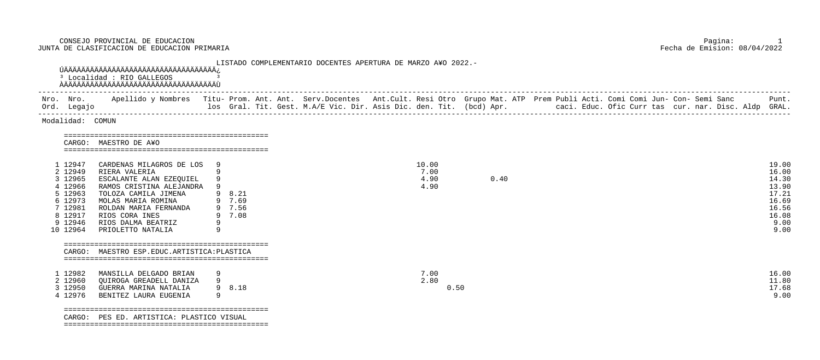| CARDENAS MILAGROS DE LOS |                         | 10.00                                  |      | 19.00 |
|--------------------------|-------------------------|----------------------------------------|------|-------|
| RIERA VALERIA            |                         | 7.00                                   |      | 16.00 |
|                          |                         | 4.90                                   | 0.40 | 14.30 |
| RAMOS CRISTINA ALEJANDRA |                         | 4.90                                   |      | 13.90 |
| TOLOZA CAMILA JIMENA     | 9 8.21                  |                                        |      | 17.21 |
| MOLAS MARIA ROMINA       | 7.69                    |                                        |      | 16.69 |
| ROLDAN MARIA FERNANDA    | 9 7.56                  |                                        |      | 16.56 |
| RIOS CORA INES           | 7.08                    |                                        |      | 16.08 |
| RIOS DALMA BEATRIZ       |                         |                                        |      | 9.00  |
| PRIOLETTO NATALIA        |                         |                                        |      | 9.00  |
|                          |                         |                                        |      |       |
|                          |                         |                                        |      |       |
|                          |                         |                                        |      |       |
|                          |                         |                                        |      |       |
|                          | ESCALANTE ALAN EZEQUIEL | MAESTRO ESP. EDUC. ARTISTICA: PLASTICA |      |       |

| Nro. Nro.<br>Ord. Legajo | los Gral. Tit. Gest. M.A/E Vic. Dir. Asis Dic. den. Tit. (bcd) Apr. | Apellido y Nombres - Titu- Prom. Ant. Ant. Serv.Docentes - Ant.Cult. Resi Otro - Grupo Mat. ATP - Prem Publi Acti. Comi Comi Jun- Con- Semi Sanc | Punt.<br>caci. Educ. Ofic Curr tas cur. nar. Disc. Aldp GRAL. |
|--------------------------|---------------------------------------------------------------------|--------------------------------------------------------------------------------------------------------------------------------------------------|---------------------------------------------------------------|
|                          |                                                                     |                                                                                                                                                  |                                                               |

CONSEJO PROVINCIAL DE EDUCACION PAGNINCIAL DE EDUCACION DE EDUCACION DE EN EN ENGLES EN ENGLES DE CLASIFICACION DE EDUCACION PRIMARIA DE SUN ENGLES DE CLASIFICACION DE EDUCACION PRIMARIA DE SUN ENGLES DE CLASIFICACION DE E JUNTA DE CLASIFICACION DE EDUCACION PRIMARIA

| Ord. Legajo                                                                                                 | Nro. Nro. Apellido y Nombres Titu- Prom. Ant. Ant. Serv.Docentes Ant.Cult. Resi Otro Grupo Mat. ATP Prem Publi Acti. Comi Comi Jun- Con- Semi Sanc<br>Ios Gral. Tit. Gest. M.A/E Vic. Dir. Asis Dic. den. Tit. (bcd) Apr.            caci. Educ. Ofic Curr tas cur. nar. Disc. Aldp GRAL. |     |                                      |  |                               |      |      |  |  |  |  | Punt.                                                                                |
|-------------------------------------------------------------------------------------------------------------|-------------------------------------------------------------------------------------------------------------------------------------------------------------------------------------------------------------------------------------------------------------------------------------------|-----|--------------------------------------|--|-------------------------------|------|------|--|--|--|--|--------------------------------------------------------------------------------------|
| Modalidad: COMUN                                                                                            |                                                                                                                                                                                                                                                                                           |     |                                      |  |                               |      |      |  |  |  |  |                                                                                      |
|                                                                                                             | CARGO: MAESTRO DE A¥O                                                                                                                                                                                                                                                                     |     |                                      |  |                               |      |      |  |  |  |  |                                                                                      |
| 1 12947<br>2 12949<br>3 12965<br>4 12966<br>5 12963<br>6 12973<br>7 12981<br>8 12917<br>9 12946<br>10 12964 | CARDENAS MILAGROS DE LOS<br>RIERA VALERIA<br>ESCALANTE ALAN EZEQUIEL<br>RAMOS CRISTINA ALEJANDRA<br>TOLOZA CAMILA JIMENA<br>MOLAS MARIA ROMINA<br>ROLDAN MARIA FERNANDA<br>RIOS CORA INES<br>RIOS DALMA BEATRIZ<br>PRIOLETTO NATALIA                                                      | - 9 | 9 8.21<br>9 7.69<br>9 7.56<br>9 7.08 |  | 10.00<br>7.00<br>4.90<br>4.90 |      | 0.40 |  |  |  |  | 19.00<br>16.00<br>14.30<br>13.90<br>17.21<br>16.69<br>16.56<br>16.08<br>9.00<br>9.00 |
|                                                                                                             | CARGO: MAESTRO ESP.EDUC.ARTISTICA: PLASTICA                                                                                                                                                                                                                                               |     |                                      |  |                               |      |      |  |  |  |  |                                                                                      |
| 1 12982<br>2 12960<br>3 12950<br>4 12976                                                                    | MANSILLA DELGADO BRIAN<br>QUIROGA GREADELL DANIZA<br>GUERRA MARINA NATALIA<br>BENITEZ LAURA EUGENIA                                                                                                                                                                                       | 9   | 9 8.18                               |  | 7.00<br>2.80                  | 0.50 |      |  |  |  |  | 16.00<br>11.80<br>17.68<br>9.00                                                      |

MARZO A¥O 2022.-

| 12982 | MANSILLA DELGADO BRIAN  |        |                              | $\perp$ 0.00 |
|-------|-------------------------|--------|------------------------------|--------------|
| 12960 | QUIROGA GREADELL DANIZA |        | $\boldsymbol{\mathsf{2.80}}$ | 11.80        |
| 12950 | GUERRA MARINA NATALIA   | 9 8.18 | 0 . JU                       | 17.68        |
| 12976 | RENITEZ LAURA EUGENIA   |        |                              |              |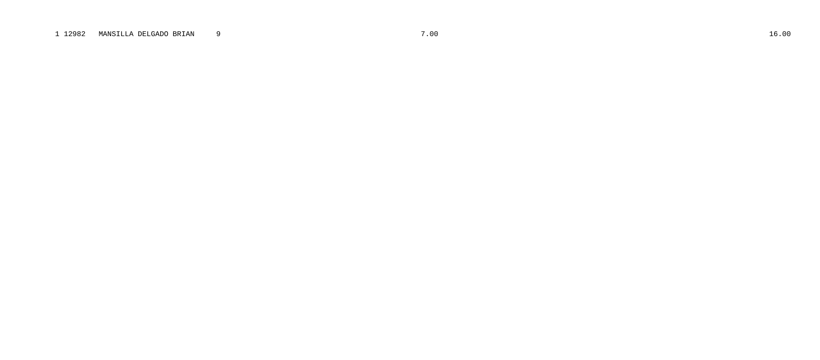# 1 12982 MANSILLA DELGADO BRIAN  $\overline{9}$

7.00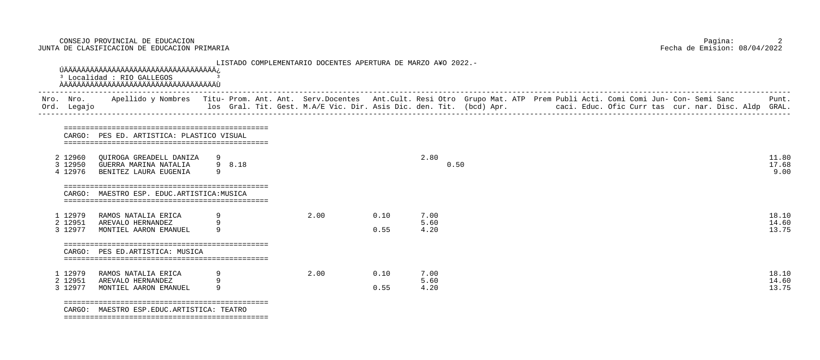2<br>A DE CLASIFICACION DE EDUCACION PRIMARIA PARIMARIA DE CLASIFICACION PRIMARIA PARIMARIA PECHA de Emision: 08/04<br>Pecha de Emision: 08/04/2022 JUNTA DE CLASIFICACION DE EDUCACION PRIMARIA

| Nro.<br>Ord. | Nro.<br>Legajo                |                                                                             |        |                |              | Apellido y Nombres Titu- Prom. Ant. Ant. Serv.Docentes Ant.Cult. Resi Otro Grupo Mat. ATP Prem Publi Acti. Comi Comi Jun- Con- Semi Sanc<br>los Gral. Tit. Gest. M.A/E Vic. Dir. Asis Dic. den. Tit. (bcd) Apr.          caci. Educ. Ofic Curr tas cur. nar. Disc. Aldp GRAL. |  |  | Punt.                   |
|--------------|-------------------------------|-----------------------------------------------------------------------------|--------|----------------|--------------|-------------------------------------------------------------------------------------------------------------------------------------------------------------------------------------------------------------------------------------------------------------------------------|--|--|-------------------------|
|              | CARGO:                        | PES ED. ARTISTICA: PLASTICO VISUAL                                          |        |                |              |                                                                                                                                                                                                                                                                               |  |  |                         |
|              | 2 12960<br>3 12950<br>4 12976 | QUIROGA GREADELL DANIZA 9<br>GUERRA MARINA NATALIA<br>BENITEZ LAURA EUGENIA | 9 8.18 |                |              | 2.80<br>0.50                                                                                                                                                                                                                                                                  |  |  | 11.80<br>17.68<br>9.00  |
|              | CARGO:                        | MAESTRO ESP. EDUC.ARTISTICA: MUSICA                                         |        |                |              |                                                                                                                                                                                                                                                                               |  |  |                         |
|              | 1 12979<br>2 12951<br>3 12977 | RAMOS NATALIA ERICA<br>AREVALO HERNANDEZ<br>MONTIEL AARON EMANUEL           |        | $2 \, . \, 00$ | 0.10<br>0.55 | 7.00<br>5.60<br>4.20                                                                                                                                                                                                                                                          |  |  | 18.10<br>14.60<br>13.75 |
|              | CARGO:                        | ==================================<br>PES ED.ARTISTICA: MUSICA              |        |                |              |                                                                                                                                                                                                                                                                               |  |  |                         |
|              | 1 12979<br>2 12951<br>3 12977 | RAMOS NATALIA ERICA<br>AREVALO HERNANDEZ<br>MONTIEL AARON EMANUEL           |        | 2.00           | 0.10<br>0.55 | 7.00<br>5.60<br>4.20                                                                                                                                                                                                                                                          |  |  | 18.10<br>14.60<br>13.75 |

| 2.80                 | 0.50 | 11.80<br>17.68<br>9.00  |
|----------------------|------|-------------------------|
| 7.00<br>5.60<br>4.20 |      | 18.10<br>14.60<br>13.75 |
| 7.00<br>5.60<br>4.20 |      | 18.10<br>14.60<br>13.75 |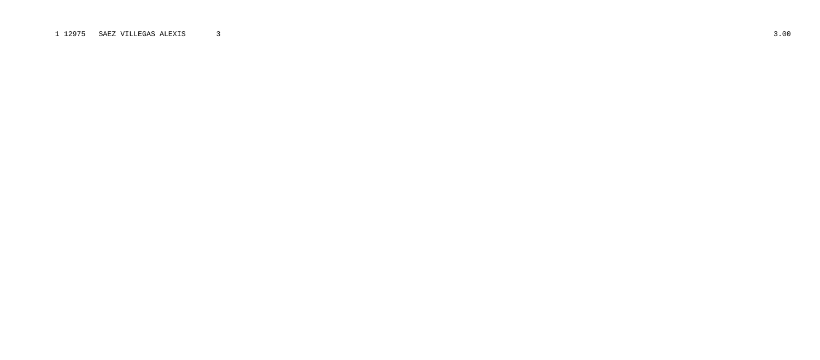# 1 12975 SAEZ VILLEGAS ALEXIS  $\overline{\mathbf{3}}$

 $3.00$